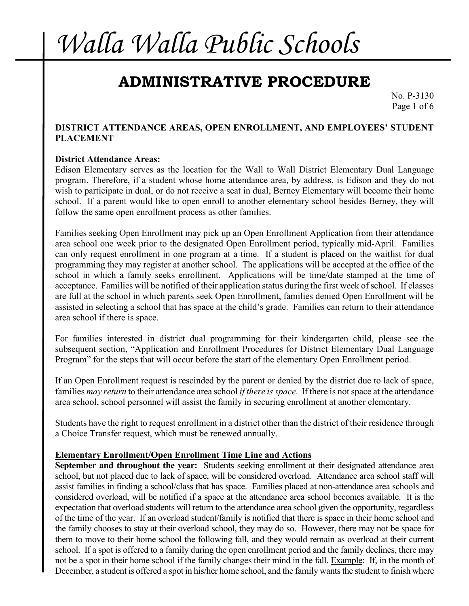### **ADMINISTRATIVE PROCEDURE**

No. P-3130 Page 1 of 6

### **DISTRICT ATTENDANCE AREAS, OPEN ENROLLMENT, AND EMPLOYEES' STUDENT PLACEMENT**

#### **District Attendance Areas:**

Edison Elementary serves as the location for the Wall to Wall District Elementary Dual Language program. Therefore, if a student whose home attendance area, by address, is Edison and they do not wish to participate in dual, or do not receive a seat in dual, Berney Elementary will become their home school. If a parent would like to open enroll to another elementary school besides Berney, they will follow the same open enrollment process as other families.

Families seeking Open Enrollment may pick up an Open Enrollment Application from their attendance area school one week prior to the designated Open Enrollment period, typically mid-April. Families can only request enrollment in one program at a time. If a student is placed on the waitlist for dual programming they may register at another school. The applications will be accepted at the office of the school in which a family seeks enrollment. Applications will be time/date stamped at the time of acceptance. Families will be notified of their application status during the first week of school. If classes are full at the school in which parents seek Open Enrollment, families denied Open Enrollment will be assisted in selecting a school that has space at the child's grade. Families can return to their attendance area school if there is space.

For families interested in district dual programming for their kindergarten child, please see the subsequent section, "Application and Enrollment Procedures for District Elementary Dual Language Program" for the steps that will occur before the start of the elementary Open Enrollment period.

If an Open Enrollment request is rescinded by the parent or denied by the district due to lack of space, families *may return* to their attendance area school *if there is space*. If there is not space at the attendance area school, school personnel will assist the family in securing enrollment at another elementary.

Students have the right to request enrollment in a district other than the district of their residence through a Choice Transfer request, which must be renewed annually.

#### **Elementary Enrollment/Open Enrollment Time Line and Actions**

**September and throughout the year:** Students seeking enrollment at their designated attendance area school, but not placed due to lack of space, will be considered overload. Attendance area school staff will assist families in finding a school/class that has space. Families placed at non-attendance area schools and considered overload, will be notified if a space at the attendance area school becomes available. It is the expectation that overload students will return to the attendance area school given the opportunity, regardless of the time of the year. If an overload student/family is notified that there is space in their home school and the family chooses to stay at their overload school, they may do so. However, there may not be space for them to move to their home school the following fall, and they would remain as overload at their current school. If a spot is offered to a family during the open enrollment period and the family declines, there may not be a spot in their home school if the family changes their mind in the fall. Example: If, in the month of December, a student is offered a spot in his/her home school, and the family wants the student to finish where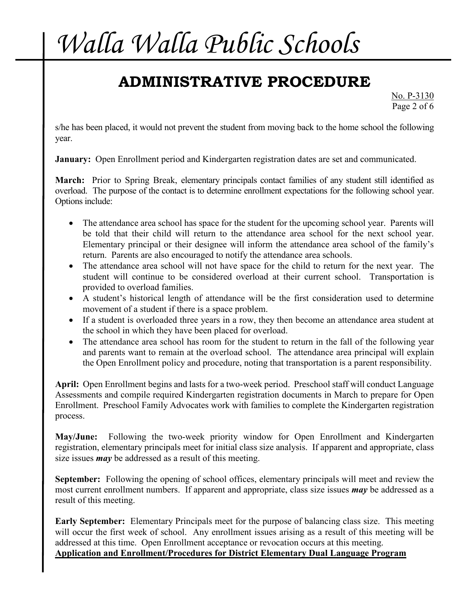## **ADMINISTRATIVE PROCEDURE**

No. P-3130 Page 2 of 6

s/he has been placed, it would not prevent the student from moving back to the home school the following year.

**January:** Open Enrollment period and Kindergarten registration dates are set and communicated.

**March:** Prior to Spring Break, elementary principals contact families of any student still identified as overload. The purpose of the contact is to determine enrollment expectations for the following school year. Options include:

- The attendance area school has space for the student for the upcoming school year. Parents will be told that their child will return to the attendance area school for the next school year. Elementary principal or their designee will inform the attendance area school of the family's return. Parents are also encouraged to notify the attendance area schools.
- The attendance area school will not have space for the child to return for the next year. The student will continue to be considered overload at their current school. Transportation is provided to overload families.
- A student's historical length of attendance will be the first consideration used to determine movement of a student if there is a space problem.
- If a student is overloaded three years in a row, they then become an attendance area student at the school in which they have been placed for overload.
- The attendance area school has room for the student to return in the fall of the following year and parents want to remain at the overload school. The attendance area principal will explain the Open Enrollment policy and procedure, noting that transportation is a parent responsibility.

**April:** Open Enrollment begins and lasts for a two-week period. Preschool staff will conduct Language Assessments and compile required Kindergarten registration documents in March to prepare for Open Enrollment. Preschool Family Advocates work with families to complete the Kindergarten registration process.

**May/June:** Following the two-week priority window for Open Enrollment and Kindergarten registration, elementary principals meet for initial class size analysis. If apparent and appropriate, class size issues *may* be addressed as a result of this meeting.

**September:** Following the opening of school offices, elementary principals will meet and review the most current enrollment numbers. If apparent and appropriate, class size issues *may* be addressed as a result of this meeting.

**Early September:** Elementary Principals meet for the purpose of balancing class size. This meeting will occur the first week of school. Any enrollment issues arising as a result of this meeting will be addressed at this time. Open Enrollment acceptance or revocation occurs at this meeting. **Application and Enrollment/Procedures for District Elementary Dual Language Program**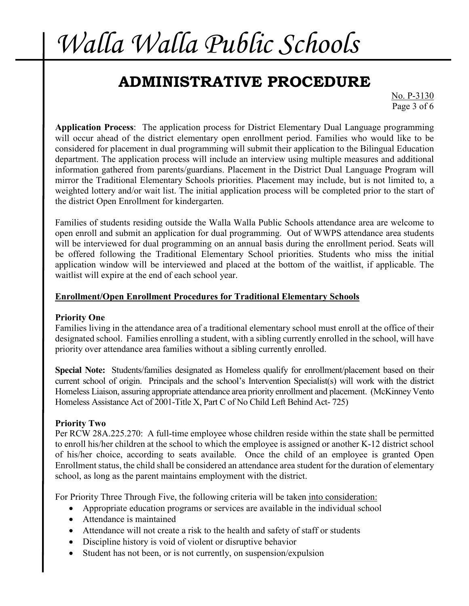### **ADMINISTRATIVE PROCEDURE**

No. P-3130 Page 3 of 6

**Application Process**: The application process for District Elementary Dual Language programming will occur ahead of the district elementary open enrollment period. Families who would like to be considered for placement in dual programming will submit their application to the Bilingual Education department. The application process will include an interview using multiple measures and additional information gathered from parents/guardians. Placement in the District Dual Language Program will mirror the Traditional Elementary Schools priorities. Placement may include, but is not limited to, a weighted lottery and/or wait list. The initial application process will be completed prior to the start of the district Open Enrollment for kindergarten.

Families of students residing outside the Walla Walla Public Schools attendance area are welcome to open enroll and submit an application for dual programming. Out of WWPS attendance area students will be interviewed for dual programming on an annual basis during the enrollment period. Seats will be offered following the Traditional Elementary School priorities. Students who miss the initial application window will be interviewed and placed at the bottom of the waitlist, if applicable. The waitlist will expire at the end of each school year.

### **Enrollment/Open Enrollment Procedures for Traditional Elementary Schools**

### **Priority One**

Families living in the attendance area of a traditional elementary school must enroll at the office of their designated school. Families enrolling a student, with a sibling currently enrolled in the school, will have priority over attendance area families without a sibling currently enrolled.

**Special Note:** Students/families designated as Homeless qualify for enrollment/placement based on their current school of origin. Principals and the school's Intervention Specialist(s) will work with the district Homeless Liaison, assuring appropriate attendance area priority enrollment and placement. (McKinney Vento Homeless Assistance Act of 2001-Title X, Part C of No Child Left Behind Act- 725)

### **Priority Two**

Per RCW 28A.225.270: A full-time employee whose children reside within the state shall be permitted to enroll his/her children at the school to which the employee is assigned or another K-12 district school of his/her choice, according to seats available. Once the child of an employee is granted Open Enrollment status, the child shall be considered an attendance area student for the duration of elementary school, as long as the parent maintains employment with the district.

For Priority Three Through Five, the following criteria will be taken into consideration:

- Appropriate education programs or services are available in the individual school
- Attendance is maintained
- Attendance will not create a risk to the health and safety of staff or students
- Discipline history is void of violent or disruptive behavior
- Student has not been, or is not currently, on suspension/expulsion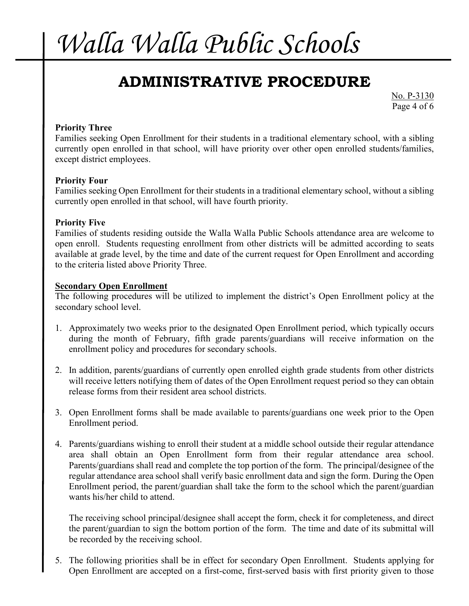### **ADMINISTRATIVE PROCEDURE**

No. P-3130 Page 4 of 6

### **Priority Three**

Families seeking Open Enrollment for their students in a traditional elementary school, with a sibling currently open enrolled in that school, will have priority over other open enrolled students/families, except district employees.

#### **Priority Four**

Families seeking Open Enrollment for their students in a traditional elementary school, without a sibling currently open enrolled in that school, will have fourth priority.

#### **Priority Five**

Families of students residing outside the Walla Walla Public Schools attendance area are welcome to open enroll. Students requesting enrollment from other districts will be admitted according to seats available at grade level, by the time and date of the current request for Open Enrollment and according to the criteria listed above Priority Three.

#### **Secondary Open Enrollment**

The following procedures will be utilized to implement the district's Open Enrollment policy at the secondary school level.

- 1. Approximately two weeks prior to the designated Open Enrollment period, which typically occurs during the month of February, fifth grade parents/guardians will receive information on the enrollment policy and procedures for secondary schools.
- 2. In addition, parents/guardians of currently open enrolled eighth grade students from other districts will receive letters notifying them of dates of the Open Enrollment request period so they can obtain release forms from their resident area school districts.
- 3. Open Enrollment forms shall be made available to parents/guardians one week prior to the Open Enrollment period.
- 4. Parents/guardians wishing to enroll their student at a middle school outside their regular attendance area shall obtain an Open Enrollment form from their regular attendance area school. Parents/guardians shall read and complete the top portion of the form. The principal/designee of the regular attendance area school shall verify basic enrollment data and sign the form. During the Open Enrollment period, the parent/guardian shall take the form to the school which the parent/guardian wants his/her child to attend.

The receiving school principal/designee shall accept the form, check it for completeness, and direct the parent/guardian to sign the bottom portion of the form. The time and date of its submittal will be recorded by the receiving school.

5. The following priorities shall be in effect for secondary Open Enrollment. Students applying for Open Enrollment are accepted on a first-come, first-served basis with first priority given to those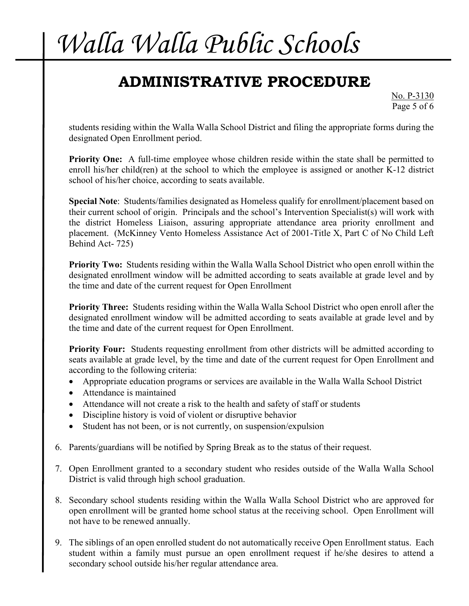## **ADMINISTRATIVE PROCEDURE**

No. P-3130 Page 5 of 6

students residing within the Walla Walla School District and filing the appropriate forms during the designated Open Enrollment period.

**Priority One:** A full-time employee whose children reside within the state shall be permitted to enroll his/her child(ren) at the school to which the employee is assigned or another K-12 district school of his/her choice, according to seats available.

**Special Note**: Students/families designated as Homeless qualify for enrollment/placement based on their current school of origin. Principals and the school's Intervention Specialist(s) will work with the district Homeless Liaison, assuring appropriate attendance area priority enrollment and placement. (McKinney Vento Homeless Assistance Act of 2001-Title X, Part C of No Child Left Behind Act- 725)

**Priority Two:** Students residing within the Walla Walla School District who open enroll within the designated enrollment window will be admitted according to seats available at grade level and by the time and date of the current request for Open Enrollment

**Priority Three:** Students residing within the Walla Walla School District who open enroll after the designated enrollment window will be admitted according to seats available at grade level and by the time and date of the current request for Open Enrollment.

**Priority Four:** Students requesting enrollment from other districts will be admitted according to seats available at grade level, by the time and date of the current request for Open Enrollment and according to the following criteria:

- Appropriate education programs or services are available in the Walla Walla School District
- Attendance is maintained
- Attendance will not create a risk to the health and safety of staff or students
- Discipline history is void of violent or disruptive behavior
- Student has not been, or is not currently, on suspension/expulsion
- 6. Parents/guardians will be notified by Spring Break as to the status of their request.
- 7. Open Enrollment granted to a secondary student who resides outside of the Walla Walla School District is valid through high school graduation.
- 8. Secondary school students residing within the Walla Walla School District who are approved for open enrollment will be granted home school status at the receiving school. Open Enrollment will not have to be renewed annually.
- 9. The siblings of an open enrolled student do not automatically receive Open Enrollment status. Each student within a family must pursue an open enrollment request if he/she desires to attend a secondary school outside his/her regular attendance area.